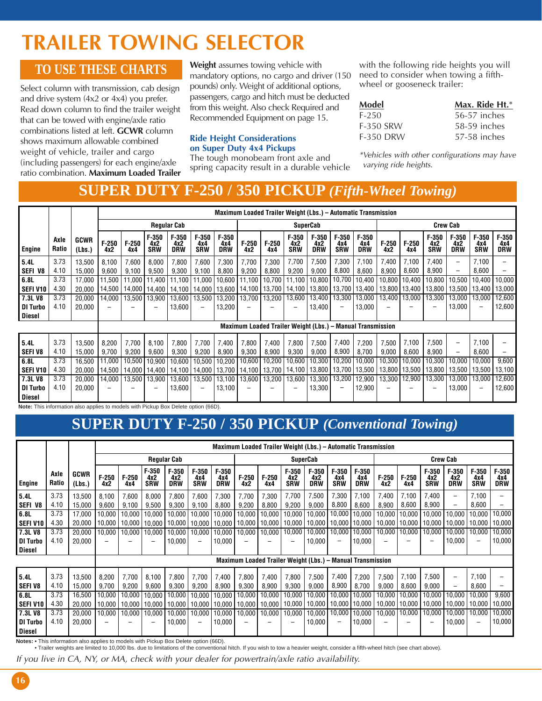# **TRAILER TOWING SELECTOR**

#### **TO USE THESE CHARTS**

Select column with transmission, cab design and drive system (4x2 or 4x4) you prefer. Read down column to find the trailer weight that can be towed with engine/axle ratio combinations listed at left. **GCWR** column shows maximum allowable combined weight of vehicle, trailer and cargo (including passengers) for each engine/axle ratio combination. **Maximum Loaded Trailer**

**Weight** assumes towing vehicle with mandatory options, no cargo and driver (150 pounds) only. Weight of additional options, passengers, cargo and hitch must be deducted from this weight. Also check Required and Recommended Equipment on page 15.

#### **Ride Height Considerations on Super Duty 4x4 Pickups**

The tough monobeam front axle and spring capacity result in a durable vehicle with the following ride heights you will need to consider when towing a fifthwheel or gooseneck trailer:

| Model            | Max. Ride $Ht.*$ |
|------------------|------------------|
| F-250            | 56-57 inches     |
| <b>F-350 SRW</b> | 58-59 inches     |
| <b>F-350 DRW</b> | 57-58 inches     |

\*Vehicles with other configurations may have varying ride heights.

### **SUPER DUTY F-250 / 350 PICKUP** *(Fifth-Wheel Towing)*

|                                                                                    |               |                       |                |                |                                                              |                              |                                   |                              |                 | Maximum Loaded Trailer Weight (Lbs.) - Automatic Transmission |                              |                              |                              |                              |                 |                 |                              |                              |                              |                              |  |
|------------------------------------------------------------------------------------|---------------|-----------------------|----------------|----------------|--------------------------------------------------------------|------------------------------|-----------------------------------|------------------------------|-----------------|---------------------------------------------------------------|------------------------------|------------------------------|------------------------------|------------------------------|-----------------|-----------------|------------------------------|------------------------------|------------------------------|------------------------------|--|
|                                                                                    |               |                       |                |                |                                                              | <b>Regular Cab</b>           |                                   |                              | <b>SuperCab</b> |                                                               |                              |                              |                              |                              | <b>Crew Cab</b> |                 |                              |                              |                              |                              |  |
| Engine                                                                             | Axle<br>Ratio | <b>GCWR</b><br>(Lbs.) | $F-250$<br>4x2 | $F-250$<br>4x4 | $F-350$<br>4x2<br><b>SRW</b>                                 | $F-350$<br>4x2<br><b>DRW</b> | $F-350$<br>4x4<br><b>SRW</b>      | $F-350$<br>4x4<br><b>DRW</b> | $F-250$<br>4x2  | $F-250$<br>4x4                                                | $F-350$<br>4x2<br><b>SRW</b> | $F-350$<br>4x2<br><b>DRW</b> | $F-350$<br>4x4<br><b>SRW</b> | $F-350$<br>4x4<br><b>DRW</b> | $F-250$<br>4x2  | $F-250$<br>4x4  | $F-350$<br>4x2<br><b>SRW</b> | $F-350$<br>4x2<br><b>DRW</b> | $F-350$<br>4x4<br><b>SRW</b> | $F-350$<br>4x4<br><b>DRW</b> |  |
| 5.4L                                                                               | 3.73          | 13,500                | 8,100          | 7,600          | 8,000                                                        | 7,800                        | 7,600                             | 7,300                        | 7,700           | 7,300                                                         | 7,700                        | 7,500                        | 7,300                        | 7,100                        | 7,400           | 7,100           | 7,400                        | $\overline{\phantom{0}}$     | 7,100                        |                              |  |
| SEFI V8                                                                            | 4.10          | 15,000                | 9,600          | 9,100          | 9,500                                                        | 9,300                        | 9,100                             | 8,800                        | 9,200           | 8,800                                                         | 9,200                        | 9,000                        | 8,800                        | 8,600                        | 8,900           | 8,600           | 8,900                        | $\overline{\phantom{0}}$     | 8,600                        |                              |  |
| 6.8L                                                                               | 3.73          | 17,000                | 11,500         |                | 11,000 11,400                                                | 11,100                       | 11,000                            | 10,600                       | 11,100          | 10,700                                                        | 11,100                       | 10,800                       | 10,700                       | 10,400                       | 10,800          | 10,400          | 10,800                       | 10,500                       | 10,400                       | 10,000                       |  |
| SEFI V10                                                                           | 4.30          | 20,000                |                |                | 14,500   14,000   14,400   14,100   14,000   13,600   14,100 |                              |                                   |                              |                 | 13,700                                                        | 14,100                       | 13,800                       | 13,700                       | 13,400                       |                 | 13,800   13,400 | 13,800                       |                              |                              | 13,500   13,400   13,000     |  |
| 7.3LV8                                                                             | 3.73          | 20,000                | 14,000         |                | 13,500   13,900                                              | 13,600                       | 13,500                            | 13,200                       | 13,700          | 13,200                                                        | 13,600                       | 13,400                       | 13,300                       | 13,000                       | 13,400          | 13,000          | 13,300                       | 13,000                       | 13,000                       | 12,600                       |  |
| <b>DI Turbo</b>                                                                    | 4.10          | 20,000                |                |                |                                                              | 13,600                       | $\qquad \qquad -$                 | 13,200                       |                 |                                                               |                              | 13,400                       | $\qquad \qquad -$            | 13,000                       | -               |                 | $\overline{\phantom{0}}$     | 13,000                       | $\qquad \qquad \blacksquare$ | 12,600                       |  |
| <b>Diesel</b>                                                                      |               |                       |                |                |                                                              |                              |                                   |                              |                 |                                                               |                              |                              |                              |                              |                 |                 |                              |                              |                              |                              |  |
|                                                                                    |               |                       |                |                |                                                              |                              |                                   |                              |                 | Maximum Loaded Trailer Weight (Lbs.) - Manual Transmission    |                              |                              |                              |                              |                 |                 |                              |                              |                              |                              |  |
| 5.4L                                                                               | 3.73          | 13,500                | 8,200          | 7,700          | 8,100                                                        | 7,800                        | 7,700                             | 7,400                        | 7,800           | 7,400                                                         | 7,800                        | 7,500                        | 7,400                        | 7,200                        | 7,500           | 7,100           | 7,500                        | $\overline{\phantom{0}}$     | 7,100                        |                              |  |
| <b>SEFIV8</b>                                                                      | 4.10          | 15,000                | 9,700          | 9,200          | 9,600                                                        | 9,300                        | 9,200                             | 8,900                        | 9,300           | 8,900                                                         | 9,300                        | 9,000                        | 8,900                        | 8,700                        | 9,000           | 8,600           | 8,900                        | $\overline{\phantom{0}}$     | 8,600                        |                              |  |
| 6.8L                                                                               | 3.73          | 16,500                | 11,000         |                | 10,500 10,900                                                | 10,600                       |                                   | 10,500   10,200              | 10,600          | 10,200                                                        | 10,600                       | 10,300                       | 10,200                       | 10,000                       | 10,300          | 10,000          | 10,300                       | 10,000                       | 10,000                       | 9,600                        |  |
| <b>SEFI V10</b>                                                                    | 4.30          | 20,000                | 14,500         |                | 14,000   14,400                                              |                              | 14,100   14,000   13,700   14,100 |                              |                 | 13,700                                                        | 14,100                       | 13,800                       | 13,700                       | 13,500                       | 13,800          | 13,500          | 13,800                       | 13,500                       | 13,500                       | 13,100                       |  |
| 7.3LV8                                                                             | 3.73          | 20,000                | 14,000         | 13,500         | 13,900                                                       | 13,600                       | 13,500                            | 13,100                       | 13,600          | 13,200                                                        | 13,600                       | 13,300                       | 13,200                       | 12,900                       | 13,300          | 12,900          | 13,300                       | 13,000                       | 13,000                       | 12,600                       |  |
| <b>DI Turbo</b>                                                                    | 4.10          | 20,000                |                |                |                                                              | 13,600                       | $\overline{\phantom{0}}$          | 13,100                       |                 |                                                               |                              | 13,300                       | $\qquad \qquad -$            | 12,900                       |                 |                 |                              | 13,000                       | $\qquad \qquad \blacksquare$ | 12,600                       |  |
| <b>Diesel</b>                                                                      |               |                       |                |                |                                                              |                              |                                   |                              |                 |                                                               |                              |                              |                              |                              |                 |                 |                              |                              |                              |                              |  |
| Note: This information also applies to models with Pickup Box Delete option (66D). |               |                       |                |                |                                                              |                              |                                   |                              |                 |                                                               |                              |                              |                              |                              |                 |                 |                              |                              |                              |                              |  |

## **SUPER DUTY F-250 / 350 PICKUP** *(Conventional Towing)*

|                                  |               |                       |                  | Maximum Loaded Trailer Weight (Lbs.) - Automatic Transmission |                              |                              |                                    |                              |                                    |                  |                              |                              |                                                            |                              |                  |                  |                              |                              |                              |                              |
|----------------------------------|---------------|-----------------------|------------------|---------------------------------------------------------------|------------------------------|------------------------------|------------------------------------|------------------------------|------------------------------------|------------------|------------------------------|------------------------------|------------------------------------------------------------|------------------------------|------------------|------------------|------------------------------|------------------------------|------------------------------|------------------------------|
|                                  |               |                       |                  |                                                               |                              | <b>Regular Cab</b>           |                                    |                              | <b>SuperCab</b>                    |                  |                              |                              |                                                            | <b>Crew Cab</b>              |                  |                  |                              |                              |                              |                              |
| Engine                           | Axle<br>Ratio | <b>GCWR</b><br>(Lbs.) | $F-250$<br>4x2   | $F-250$<br>4x4                                                | $F-350$<br>4x2<br><b>SRW</b> | $F-350$<br>4x2<br><b>DRW</b> | $F-350$<br>4x4<br><b>SRW</b>       | $F-350$<br>4x4<br><b>DRW</b> | $F-250$<br>4x2                     | $F-250$<br>4x4   | $F-350$<br>4x2<br><b>SRW</b> | $F-350$<br>4x2<br><b>DRW</b> | $F-350$<br>4x4<br><b>SRW</b>                               | $F-350$<br>4x4<br><b>DRW</b> | $F-250$<br>4x2   | $F-250$<br>4x4   | $F-350$<br>4x2<br><b>SRW</b> | $F-350$<br>4x2<br><b>DRW</b> | $F-350$<br>4x4<br><b>SRW</b> | $F-350$<br>4x4<br><b>DRW</b> |
| 5.4L<br>SEFI V8                  | 3.73<br>4.10  | 13,500<br>15,000      | 8,100<br>9,600   | 7,600<br>9,100                                                | 8,000<br>9,500               | 7,800<br>9,300               | 7,600<br>9,100                     | 7,300<br>8,800               | 7,700<br>9,200                     | 7,300<br>8,800   | 7,700<br>9,200               | 7,500<br>9,000               | 7,300<br>8,800                                             | 7,100<br>8,600               | 7,400<br>8,900   | 7,100<br>8,600   | 7,400<br>8,900               | $\qquad \qquad -$<br>Ξ.      | 7,100<br>8,600               |                              |
| 6.8L<br><b>SEFI V10</b>          | 3.73<br>4.30  | 17,000<br>20,000      | 10,000<br>10,000 | 10,000                                                        | 10,000<br>10,000   10,000    | 10,000                       | 10,000<br>10,000   10,000   10,000 | 10,000                       | 10,000<br>10,000                   | 10,000<br>10,000 | 10,000<br>10,000             | 10,000<br>10,000             | 10,000<br>10,000                                           | 10,000<br>10,000             | 10,000<br>10,000 | 10,000<br>10,000 | 10,000<br>10,000             | 10,000<br>10,000   10,000    | 10,000                       | 10,000<br>10,000             |
| 7.3LV8<br><b>DI Turbo</b>        | 3.73<br>4.10  | 20,000<br>20,000      | 10,000           | 10,000                                                        | 10,000                       | 10,000<br>10,000             | 10,000<br>$\overline{\phantom{0}}$ | 10,000 <br>10,000            | 10,000<br>$\overline{\phantom{0}}$ | 10,000           | 10,000                       | 10,000<br>10,000             | 10,000<br>$\qquad \qquad \qquad$                           | 10,000<br>10,000             | 10,000<br>-      | 10,000           | 10,000                       | 10,000<br>10,000             | 10,000                       | 10,000<br>10,000             |
| <b>Diesel</b>                    |               |                       |                  |                                                               |                              |                              |                                    |                              |                                    |                  |                              |                              | Maximum Loaded Trailer Weight (Lbs.) - Manual Transmission |                              |                  |                  |                              |                              |                              |                              |
|                                  |               |                       |                  |                                                               |                              |                              |                                    |                              |                                    |                  |                              |                              |                                                            |                              |                  |                  |                              |                              |                              |                              |
| 5.4L                             | 3.73          | 13,500                | 8,200            | 7,700                                                         | 8,100                        | 7,800                        | 7,700                              | 7,400                        | 7,800                              | 7,400            | 7,800                        | 7,500                        | 7,400                                                      | 7,200                        | 7,500            | 7,100            | 7,500                        | -                            | 7,100                        |                              |
| SEFI V8                          | 4.10          | 15,000                | 9,700            | 9,200                                                         | 9,600                        | 9,300                        | 9,200                              | 8,900                        | 9,300                              | 8,900            | 9,300                        | 9,000                        | 8,900                                                      | 8,700                        | 9,000            | 8,600            | 9,000                        | -                            | 8,600                        |                              |
| 6.8L                             | 3.73          | 16,500                | 10.000           | 10.000                                                        | 10,000                       | 10,000                       | 10.000                             | 10,000                       | 10.000                             | 10,000           | 10,000                       | 10,000                       | 10,000                                                     | 10,000                       | 10,000           | 10,000           | 10.000                       | 10.000                       | 10.000                       | 9,600                        |
| <b>SEFI V10</b>                  | 4.30          | 20,000                |                  | 10,000   10,000   10,000                                      |                              |                              | 10,000   10,000   10,000           |                              | 10,000                             | 10,000   10,000  |                              | 10,000                       | 10,000                                                     | 10,000                       | 10,000           | 10,000           | 10,000                       | 10,000   10,000              |                              | 10,000                       |
| 7.3LV8                           | 3.73          | 20,000                | 10,000           | 10,000                                                        | 10,000                       |                              | 10,000   10,000                    | 10,000                       | 10,000                             | 10,000           | 10,000                       | 10,000                       | 10,000                                                     | 10,000                       | 10,000           | 10,000           | 10,000                       | 10,000                       | 10,000                       | 10,000                       |
| <b>DI Turbo</b><br><b>Diesel</b> | 4.10          | 20,000                |                  |                                                               |                              | 10,000                       | $\overline{\phantom{0}}$           | 10,000                       | -                                  |                  |                              | 10,000                       | $\qquad \qquad \qquad$                                     | 10,000                       | -                |                  |                              | 10,000                       | ۰                            | 10,000                       |

Notes: • This information also applies to models with Pickup Box Delete option (66D).<br>• Trailer weights are limited to 10,000 lbs. due to limitations of the conventional hitch. If you wish to tow a heavier weight, consider

If you live in CA, NY, or MA, check with your dealer for powertrain/axle ratio availability.